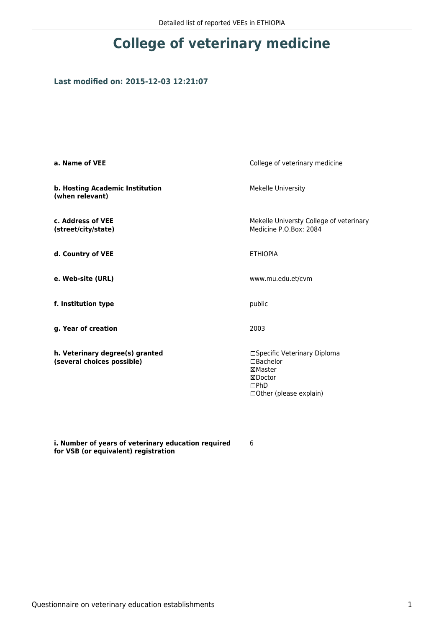# **College of veterinary medicine**

#### **Last modified on: 2015-12-03 12:21:07**

| a. Name of VEE                                                | College of veterinary medicine                                                                      |
|---------------------------------------------------------------|-----------------------------------------------------------------------------------------------------|
| b. Hosting Academic Institution<br>(when relevant)            | <b>Mekelle University</b>                                                                           |
| c. Address of VEE<br>(street/city/state)                      | Mekelle Universty College of veterinary<br>Medicine P.O.Box: 2084                                   |
| d. Country of VEE                                             | <b>ETHIOPIA</b>                                                                                     |
| e. Web-site (URL)                                             | www.mu.edu.et/cvm                                                                                   |
| f. Institution type                                           | public                                                                                              |
| g. Year of creation                                           | 2003                                                                                                |
| h. Veterinary degree(s) granted<br>(several choices possible) | □Specific Veterinary Diploma<br>□Bachelor<br>⊠Master<br>⊠Doctor<br>DPhD<br>□ Other (please explain) |

**i. Number of years of veterinary education required for VSB (or equivalent) registration**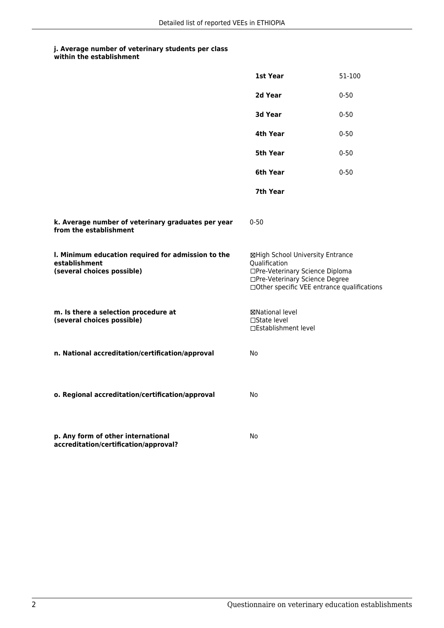|                                                                                                   | 1st Year                                                                                                                                                              | 51-100   |
|---------------------------------------------------------------------------------------------------|-----------------------------------------------------------------------------------------------------------------------------------------------------------------------|----------|
|                                                                                                   | 2d Year                                                                                                                                                               | $0 - 50$ |
|                                                                                                   | 3d Year                                                                                                                                                               | $0 - 50$ |
|                                                                                                   | 4th Year                                                                                                                                                              | $0 - 50$ |
|                                                                                                   | 5th Year                                                                                                                                                              | $0 - 50$ |
|                                                                                                   | 6th Year                                                                                                                                                              | $0 - 50$ |
|                                                                                                   | 7th Year                                                                                                                                                              |          |
| k. Average number of veterinary graduates per year<br>from the establishment                      | $0 - 50$                                                                                                                                                              |          |
| I. Minimum education required for admission to the<br>establishment<br>(several choices possible) | ⊠High School University Entrance<br>Qualification<br>□Pre-Veterinary Science Diploma<br>□Pre-Veterinary Science Degree<br>□Other specific VEE entrance qualifications |          |
| m. Is there a selection procedure at<br>(several choices possible)                                | ⊠National level<br>$\Box$ State level<br>□Establishment level                                                                                                         |          |
| n. National accreditation/certification/approval                                                  | No                                                                                                                                                                    |          |
| o. Regional accreditation/certification/approval                                                  | No                                                                                                                                                                    |          |
| p. Any form of other international<br>accreditation/certification/approval?                       | No                                                                                                                                                                    |          |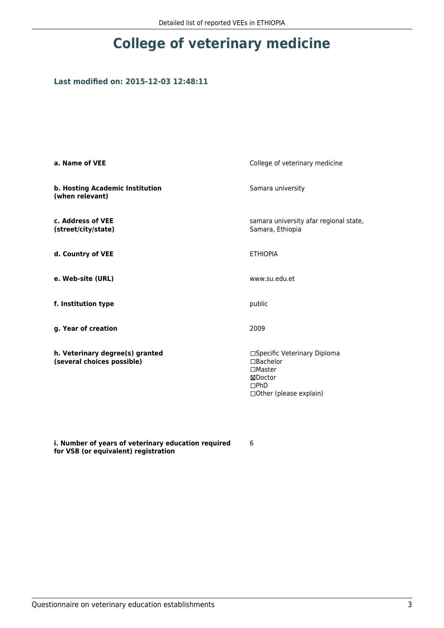# **College of veterinary medicine**

#### **Last modified on: 2015-12-03 12:48:11**

| a. Name of VEE                                                | College of veterinary medicine                                                                                              |
|---------------------------------------------------------------|-----------------------------------------------------------------------------------------------------------------------------|
| b. Hosting Academic Institution<br>(when relevant)            | Samara university                                                                                                           |
| c. Address of VEE<br>(street/city/state)                      | samara university afar regional state,<br>Samara, Ethiopia                                                                  |
| d. Country of VEE                                             | <b>ETHIOPIA</b>                                                                                                             |
| e. Web-site (URL)                                             | www.su.edu.et                                                                                                               |
| f. Institution type                                           | public                                                                                                                      |
| g. Year of creation                                           | 2009                                                                                                                        |
| h. Veterinary degree(s) granted<br>(several choices possible) | □Specific Veterinary Diploma<br>$\Box$ Bachelor<br>$\square$ Master<br>⊠Doctor<br>$\square$ PhD<br>□ Other (please explain) |

**i. Number of years of veterinary education required for VSB (or equivalent) registration**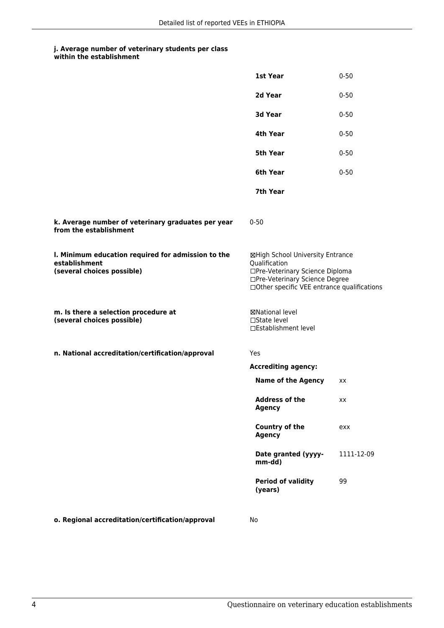| within the establishment |
|--------------------------|
|                          |

|                                                                                                   | 1st Year                                                                                                                                                              | $0 - 50$   |
|---------------------------------------------------------------------------------------------------|-----------------------------------------------------------------------------------------------------------------------------------------------------------------------|------------|
|                                                                                                   | 2d Year                                                                                                                                                               | $0 - 50$   |
|                                                                                                   | 3d Year                                                                                                                                                               | $0 - 50$   |
|                                                                                                   | 4th Year                                                                                                                                                              | $0 - 50$   |
|                                                                                                   | <b>5th Year</b>                                                                                                                                                       | $0 - 50$   |
|                                                                                                   | 6th Year                                                                                                                                                              | $0 - 50$   |
|                                                                                                   | 7th Year                                                                                                                                                              |            |
| k. Average number of veterinary graduates per year<br>from the establishment                      | $0 - 50$                                                                                                                                                              |            |
| I. Minimum education required for admission to the<br>establishment<br>(several choices possible) | ⊠High School University Entrance<br>Qualification<br>□Pre-Veterinary Science Diploma<br>□Pre-Veterinary Science Degree<br>□Other specific VEE entrance qualifications |            |
| m. Is there a selection procedure at<br>(several choices possible)                                | ⊠National level<br>$\Box$ State level<br>□Establishment level                                                                                                         |            |
| n. National accreditation/certification/approval                                                  | Yes                                                                                                                                                                   |            |
|                                                                                                   | <b>Accrediting agency:</b>                                                                                                                                            |            |
|                                                                                                   | <b>Name of the Agency</b>                                                                                                                                             | XX         |
|                                                                                                   | <b>Address of the</b><br><b>Agency</b>                                                                                                                                | xх         |
|                                                                                                   | Country of the<br><b>Agency</b>                                                                                                                                       | exx        |
|                                                                                                   | Date granted (yyyy-<br>mm-dd)                                                                                                                                         | 1111-12-09 |
|                                                                                                   | <b>Period of validity</b><br>(years)                                                                                                                                  | 99         |
| o. Regional accreditation/certification/approval                                                  | No                                                                                                                                                                    |            |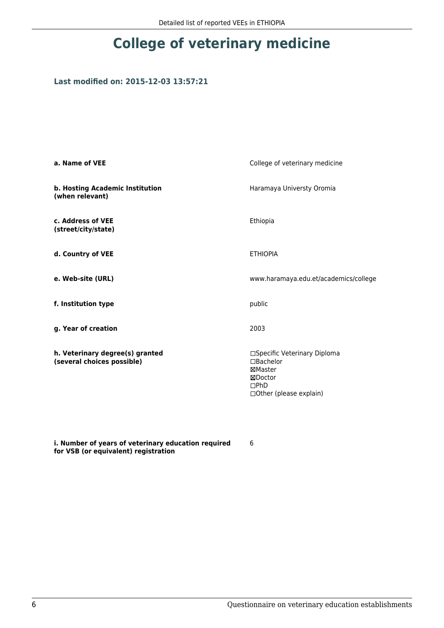# **College of veterinary medicine**

#### **Last modified on: 2015-12-03 13:57:21**

| a. Name of VEE                                                | College of veterinary medicine                                                                            |
|---------------------------------------------------------------|-----------------------------------------------------------------------------------------------------------|
| b. Hosting Academic Institution<br>(when relevant)            | Haramaya Universty Oromia                                                                                 |
| c. Address of VEE<br>(street/city/state)                      | Ethiopia                                                                                                  |
| d. Country of VEE                                             | <b>ETHIOPIA</b>                                                                                           |
| e. Web-site (URL)                                             | www.haramaya.edu.et/academics/college                                                                     |
| f. Institution type                                           | public                                                                                                    |
| g. Year of creation                                           | 2003                                                                                                      |
| h. Veterinary degree(s) granted<br>(several choices possible) | □Specific Veterinary Diploma<br>$\Box$ Bachelor<br>⊠Master<br>⊠Doctor<br>DPhD<br>□ Other (please explain) |

**i. Number of years of veterinary education required for VSB (or equivalent) registration**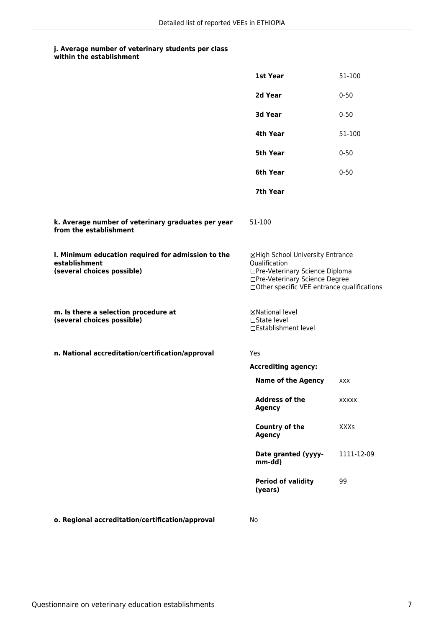|  | within the establishment |
|--|--------------------------|
|--|--------------------------|

|                                                                                                   | 1st Year                                                                                                                                                              | 51-100       |  |
|---------------------------------------------------------------------------------------------------|-----------------------------------------------------------------------------------------------------------------------------------------------------------------------|--------------|--|
|                                                                                                   | 2d Year                                                                                                                                                               | $0 - 50$     |  |
|                                                                                                   | 3d Year                                                                                                                                                               | $0 - 50$     |  |
|                                                                                                   | 4th Year                                                                                                                                                              | 51-100       |  |
|                                                                                                   | 5th Year                                                                                                                                                              | $0 - 50$     |  |
|                                                                                                   | 6th Year                                                                                                                                                              | $0 - 50$     |  |
|                                                                                                   | 7th Year                                                                                                                                                              |              |  |
| k. Average number of veterinary graduates per year<br>from the establishment                      | 51-100                                                                                                                                                                |              |  |
| I. Minimum education required for admission to the<br>establishment<br>(several choices possible) | ⊠High School University Entrance<br>Qualification<br>□Pre-Veterinary Science Diploma<br>□Pre-Veterinary Science Degree<br>□Other specific VEE entrance qualifications |              |  |
| m. Is there a selection procedure at<br>(several choices possible)                                | ⊠National level<br>□State level<br>□Establishment level                                                                                                               |              |  |
| n. National accreditation/certification/approval                                                  | Yes                                                                                                                                                                   |              |  |
|                                                                                                   | <b>Accrediting agency:</b>                                                                                                                                            |              |  |
|                                                                                                   | <b>Name of the Agency</b>                                                                                                                                             | <b>XXX</b>   |  |
|                                                                                                   | <b>Address of the</b><br><b>Agency</b>                                                                                                                                | <b>XXXXX</b> |  |
|                                                                                                   | Country of the<br><b>Agency</b>                                                                                                                                       | <b>XXXs</b>  |  |
|                                                                                                   | Date granted (yyyy-<br>mm-dd)                                                                                                                                         | 1111-12-09   |  |
|                                                                                                   | <b>Period of validity</b><br>(years)                                                                                                                                  | 99           |  |
| o. Regional accreditation/certification/approval                                                  | No                                                                                                                                                                    |              |  |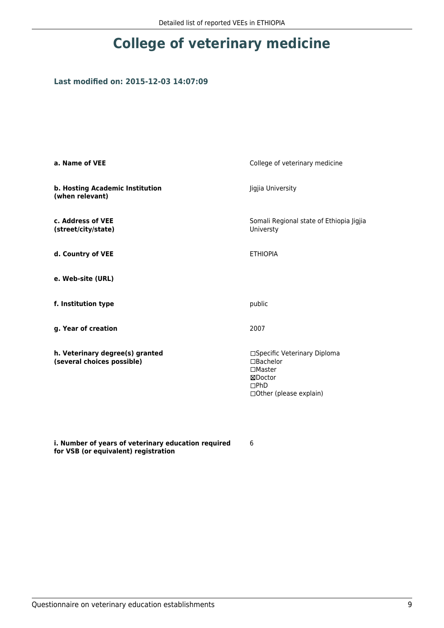# **College of veterinary medicine**

#### **Last modified on: 2015-12-03 14:07:09**

| a. Name of VEE                                                | College of veterinary medicine                                                                                     |
|---------------------------------------------------------------|--------------------------------------------------------------------------------------------------------------------|
| b. Hosting Academic Institution<br>(when relevant)            | Jigjia University                                                                                                  |
| c. Address of VEE<br>(street/city/state)                      | Somali Regional state of Ethiopia Jigjia<br>Universty                                                              |
| d. Country of VEE                                             | <b>ETHIOPIA</b>                                                                                                    |
| e. Web-site (URL)                                             |                                                                                                                    |
| f. Institution type                                           | public                                                                                                             |
| g. Year of creation                                           | 2007                                                                                                               |
| h. Veterinary degree(s) granted<br>(several choices possible) | □Specific Veterinary Diploma<br>$\Box$ Bachelor<br>$\square$ Master<br>⊠Doctor<br>DPhD<br>□ Other (please explain) |

**i. Number of years of veterinary education required for VSB (or equivalent) registration**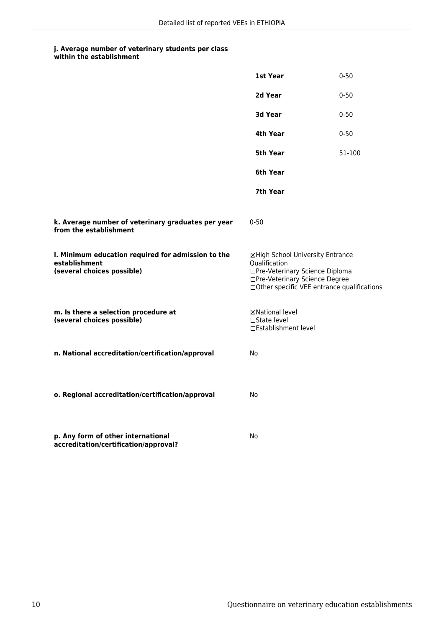|  | within the establishment |  |  |  |  |
|--|--------------------------|--|--|--|--|
|--|--------------------------|--|--|--|--|

|                                                                                                   | 1st Year                                                                                                                                                              | $0 - 50$ |
|---------------------------------------------------------------------------------------------------|-----------------------------------------------------------------------------------------------------------------------------------------------------------------------|----------|
|                                                                                                   | 2d Year                                                                                                                                                               | $0 - 50$ |
|                                                                                                   | 3d Year                                                                                                                                                               | $0 - 50$ |
|                                                                                                   | 4th Year                                                                                                                                                              | $0 - 50$ |
|                                                                                                   | 5th Year                                                                                                                                                              | 51-100   |
|                                                                                                   | 6th Year                                                                                                                                                              |          |
|                                                                                                   | 7th Year                                                                                                                                                              |          |
| k. Average number of veterinary graduates per year<br>from the establishment                      | $0 - 50$                                                                                                                                                              |          |
| I. Minimum education required for admission to the<br>establishment<br>(several choices possible) | ⊠High School University Entrance<br>Qualification<br>□Pre-Veterinary Science Diploma<br>□Pre-Veterinary Science Degree<br>□Other specific VEE entrance qualifications |          |
| m. Is there a selection procedure at<br>(several choices possible)                                | ⊠National level<br>$\Box$ State level<br>□Establishment level                                                                                                         |          |
| n. National accreditation/certification/approval                                                  | No                                                                                                                                                                    |          |
| o. Regional accreditation/certification/approval                                                  | No                                                                                                                                                                    |          |
| p. Any form of other international<br>accreditation/certification/approval?                       | No                                                                                                                                                                    |          |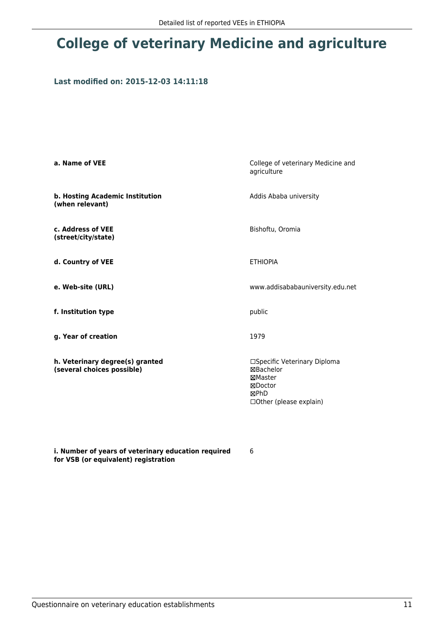## **College of veterinary Medicine and agriculture**

#### **Last modified on: 2015-12-03 14:11:18**

| a. Name of VEE                                                | College of veterinary Medicine and<br>agriculture                                                        |
|---------------------------------------------------------------|----------------------------------------------------------------------------------------------------------|
| b. Hosting Academic Institution<br>(when relevant)            | Addis Ababa university                                                                                   |
| c. Address of VEE<br>(street/city/state)                      | Bishoftu, Oromia                                                                                         |
| d. Country of VEE                                             | <b>ETHIOPIA</b>                                                                                          |
| e. Web-site (URL)                                             | www.addisababauniversity.edu.net                                                                         |
| f. Institution type                                           | public                                                                                                   |
| g. Year of creation                                           | 1979                                                                                                     |
| h. Veterinary degree(s) granted<br>(several choices possible) | □Specific Veterinary Diploma<br>⊠Bachelor<br>⊠Master<br>⊠Doctor<br>⊠PhD<br>$\Box$ Other (please explain) |

**i. Number of years of veterinary education required for VSB (or equivalent) registration**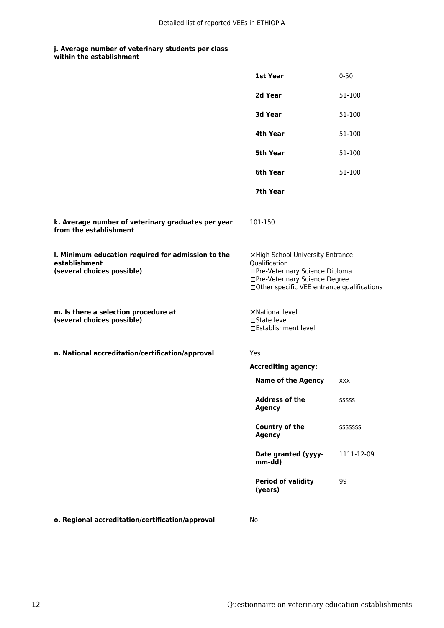| within the establishment |  |
|--------------------------|--|
|--------------------------|--|

|                                                                                                   | 1st Year                                                                                                                                                              | $0 - 50$   |
|---------------------------------------------------------------------------------------------------|-----------------------------------------------------------------------------------------------------------------------------------------------------------------------|------------|
|                                                                                                   | 2d Year                                                                                                                                                               | 51-100     |
|                                                                                                   | 3d Year                                                                                                                                                               | 51-100     |
|                                                                                                   | 4th Year                                                                                                                                                              | 51-100     |
|                                                                                                   | 5th Year                                                                                                                                                              | 51-100     |
|                                                                                                   | 6th Year                                                                                                                                                              | 51-100     |
|                                                                                                   | 7th Year                                                                                                                                                              |            |
| k. Average number of veterinary graduates per year<br>from the establishment                      | 101-150                                                                                                                                                               |            |
| I. Minimum education required for admission to the<br>establishment<br>(several choices possible) | ⊠High School University Entrance<br>Qualification<br>□Pre-Veterinary Science Diploma<br>□Pre-Veterinary Science Degree<br>□Other specific VEE entrance qualifications |            |
| m. Is there a selection procedure at<br>(several choices possible)                                | ⊠National level<br>$\square$ State level<br>□Establishment level                                                                                                      |            |
| n. National accreditation/certification/approval                                                  | Yes                                                                                                                                                                   |            |
|                                                                                                   | <b>Accrediting agency:</b>                                                                                                                                            |            |
|                                                                                                   | <b>Name of the Agency</b>                                                                                                                                             | XXX        |
|                                                                                                   | <b>Address of the</b><br><b>Agency</b>                                                                                                                                | SSSSS      |
|                                                                                                   | Country of the<br><b>Agency</b>                                                                                                                                       | SSSSSSS    |
|                                                                                                   | Date granted (yyyy-<br>mm-dd)                                                                                                                                         | 1111-12-09 |
|                                                                                                   | <b>Period of validity</b><br>(years)                                                                                                                                  | 99         |
| o. Regional accreditation/certification/approval                                                  | No                                                                                                                                                                    |            |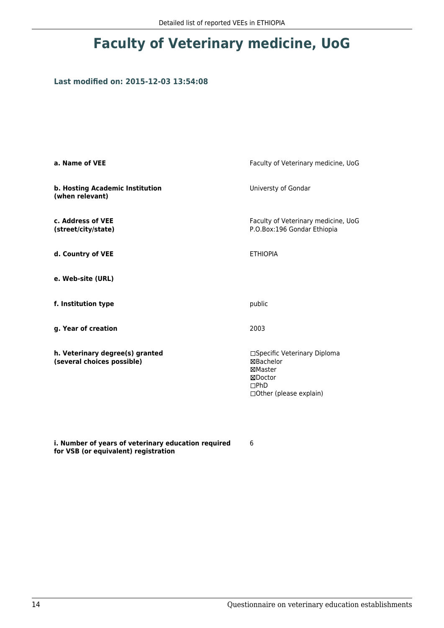## **Faculty of Veterinary medicine, UoG**

#### **Last modified on: 2015-12-03 13:54:08**

| a. Name of VEE                                                | Faculty of Veterinary medicine, UoG                                                                 |
|---------------------------------------------------------------|-----------------------------------------------------------------------------------------------------|
| b. Hosting Academic Institution<br>(when relevant)            | Universty of Gondar                                                                                 |
| c. Address of VEE<br>(street/city/state)                      | Faculty of Veterinary medicine, UoG<br>P.O.Box:196 Gondar Ethiopia                                  |
| d. Country of VEE                                             | <b>ETHIOPIA</b>                                                                                     |
| e. Web-site (URL)                                             |                                                                                                     |
| f. Institution type                                           | public                                                                                              |
| g. Year of creation                                           | 2003                                                                                                |
| h. Veterinary degree(s) granted<br>(several choices possible) | □Specific Veterinary Diploma<br>⊠Bachelor<br>⊠Master<br>⊠Doctor<br>DPhD<br>□ Other (please explain) |

**i. Number of years of veterinary education required for VSB (or equivalent) registration**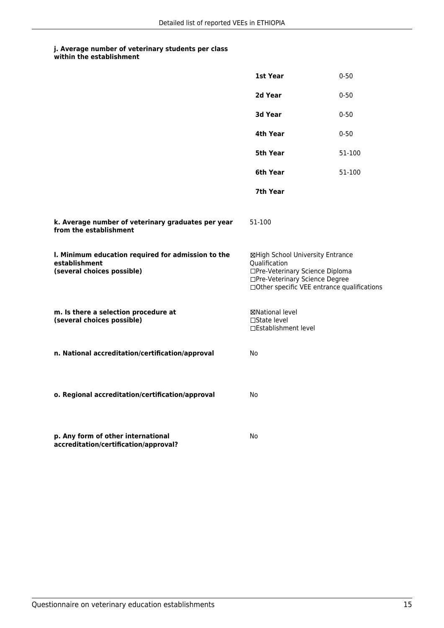|                                                                                                   | 1st Year                                                                                                                                                              | $0 - 50$ |
|---------------------------------------------------------------------------------------------------|-----------------------------------------------------------------------------------------------------------------------------------------------------------------------|----------|
|                                                                                                   | 2d Year                                                                                                                                                               | $0 - 50$ |
|                                                                                                   | <b>3d Year</b>                                                                                                                                                        | $0 - 50$ |
|                                                                                                   | 4th Year                                                                                                                                                              | $0 - 50$ |
|                                                                                                   | 5th Year                                                                                                                                                              | 51-100   |
|                                                                                                   | 6th Year                                                                                                                                                              | 51-100   |
|                                                                                                   | 7th Year                                                                                                                                                              |          |
| k. Average number of veterinary graduates per year<br>from the establishment                      | 51-100                                                                                                                                                                |          |
| I. Minimum education required for admission to the<br>establishment<br>(several choices possible) | ⊠High School University Entrance<br>Qualification<br>□Pre-Veterinary Science Diploma<br>□Pre-Veterinary Science Degree<br>□Other specific VEE entrance qualifications |          |
| m. Is there a selection procedure at<br>(several choices possible)                                | ⊠National level<br>□State level<br>□Establishment level                                                                                                               |          |
| n. National accreditation/certification/approval                                                  | No                                                                                                                                                                    |          |
| o. Regional accreditation/certification/approval                                                  | No                                                                                                                                                                    |          |
| p. Any form of other international<br>accreditation/certification/approval?                       | No                                                                                                                                                                    |          |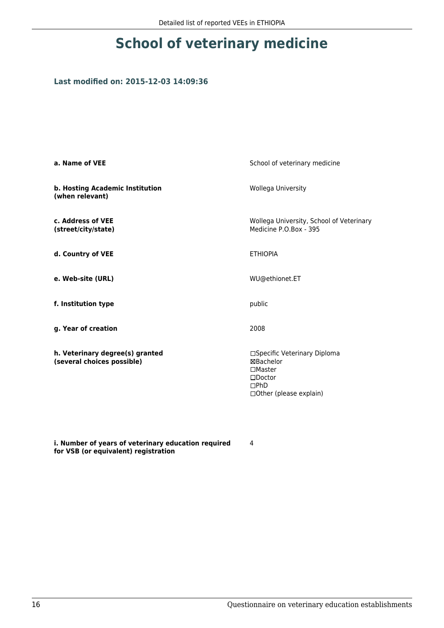## **School of veterinary medicine**

#### **Last modified on: 2015-12-03 14:09:36**

| a. Name of VEE                                                | School of veterinary medicine                                                                                         |
|---------------------------------------------------------------|-----------------------------------------------------------------------------------------------------------------------|
| b. Hosting Academic Institution<br>(when relevant)            | Wollega University                                                                                                    |
| c. Address of VEE<br>(street/city/state)                      | Wollega University, School of Veterinary<br>Medicine P.O.Box - 395                                                    |
| d. Country of VEE                                             | <b>ETHIOPIA</b>                                                                                                       |
| e. Web-site (URL)                                             | WU@ethionet.ET                                                                                                        |
| f. Institution type                                           | public                                                                                                                |
| g. Year of creation                                           | 2008                                                                                                                  |
| h. Veterinary degree(s) granted<br>(several choices possible) | □Specific Veterinary Diploma<br>⊠Bachelor<br>$\square$ Master<br>$\square$ Doctor<br>DPhD<br>□ Other (please explain) |

**i. Number of years of veterinary education required for VSB (or equivalent) registration**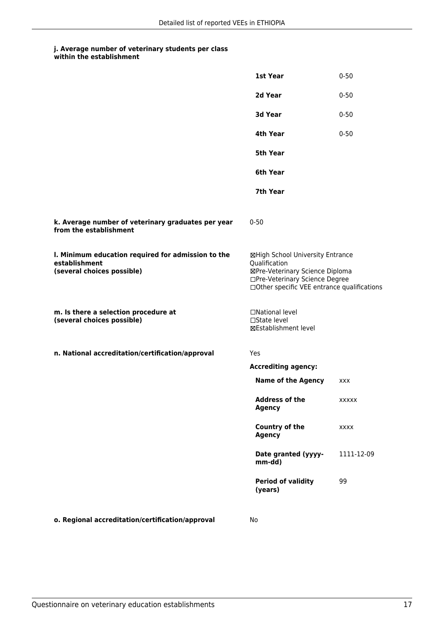#### **j. Average number of veterinary students per class within the establishment**

|                                                                                                   | 1st Year                                                                                                                                                              | $0 - 50$     |
|---------------------------------------------------------------------------------------------------|-----------------------------------------------------------------------------------------------------------------------------------------------------------------------|--------------|
|                                                                                                   | 2d Year                                                                                                                                                               | $0 - 50$     |
|                                                                                                   | 3d Year                                                                                                                                                               | $0 - 50$     |
|                                                                                                   | 4th Year                                                                                                                                                              | $0 - 50$     |
|                                                                                                   | <b>5th Year</b>                                                                                                                                                       |              |
|                                                                                                   | 6th Year                                                                                                                                                              |              |
|                                                                                                   | 7th Year                                                                                                                                                              |              |
| k. Average number of veterinary graduates per year<br>from the establishment                      | $0 - 50$                                                                                                                                                              |              |
| I. Minimum education required for admission to the<br>establishment<br>(several choices possible) | ⊠High School University Entrance<br>Qualification<br>⊠Pre-Veterinary Science Diploma<br>□Pre-Veterinary Science Degree<br>□Other specific VEE entrance qualifications |              |
| m. Is there a selection procedure at<br>(several choices possible)                                | □National level<br>$\Box$ State level<br>⊠Establishment level                                                                                                         |              |
| n. National accreditation/certification/approval                                                  | Yes                                                                                                                                                                   |              |
|                                                                                                   | <b>Accrediting agency:</b>                                                                                                                                            |              |
|                                                                                                   | <b>Name of the Agency</b>                                                                                                                                             | <b>XXX</b>   |
|                                                                                                   | <b>Address of the</b><br><b>Agency</b>                                                                                                                                | <b>XXXXX</b> |
|                                                                                                   | Country of the<br><b>Agency</b>                                                                                                                                       | <b>XXXX</b>  |
|                                                                                                   | Date granted (yyyy-<br>mm-dd)                                                                                                                                         | 1111-12-09   |
|                                                                                                   | <b>Period of validity</b><br>(years)                                                                                                                                  | 99           |
| o. Regional accreditation/certification/approval                                                  | No                                                                                                                                                                    |              |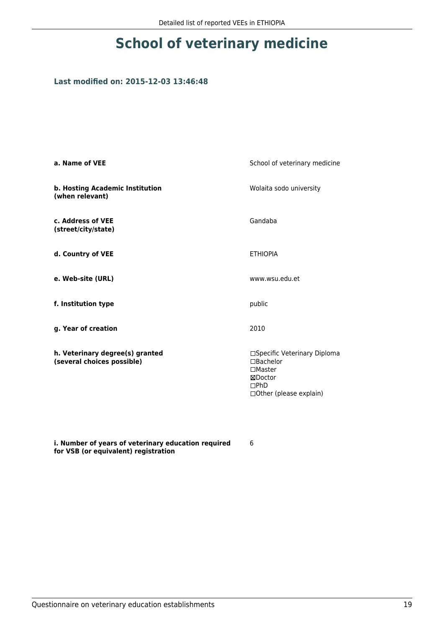## **School of veterinary medicine**

### **Last modified on: 2015-12-03 13:46:48**

| a. Name of VEE                                                | School of veterinary medicine                                                                                  |
|---------------------------------------------------------------|----------------------------------------------------------------------------------------------------------------|
| b. Hosting Academic Institution<br>(when relevant)            | Wolaita sodo university                                                                                        |
| c. Address of VEE<br>(street/city/state)                      | Gandaba                                                                                                        |
| d. Country of VEE                                             | <b>ETHIOPIA</b>                                                                                                |
| e. Web-site (URL)                                             | www.wsu.edu.et                                                                                                 |
| f. Institution type                                           | public                                                                                                         |
| g. Year of creation                                           | 2010                                                                                                           |
| h. Veterinary degree(s) granted<br>(several choices possible) | □Specific Veterinary Diploma<br>□Bachelor<br>$\Box$ Master<br>⊠Doctor<br>DPhD<br>$\Box$ Other (please explain) |

**i. Number of years of veterinary education required for VSB (or equivalent) registration**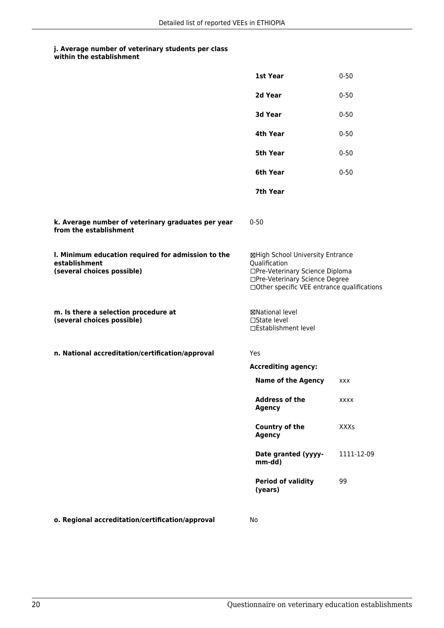| within the establishment |
|--------------------------|
|                          |

|                                                                                                   | 1st Year                                                                                                                                                              | $0 - 50$    |
|---------------------------------------------------------------------------------------------------|-----------------------------------------------------------------------------------------------------------------------------------------------------------------------|-------------|
|                                                                                                   | 2d Year                                                                                                                                                               | $0 - 50$    |
|                                                                                                   | 3d Year                                                                                                                                                               | $0 - 50$    |
|                                                                                                   | 4th Year                                                                                                                                                              | $0 - 50$    |
|                                                                                                   | <b>5th Year</b>                                                                                                                                                       | $0 - 50$    |
|                                                                                                   | 6th Year                                                                                                                                                              | $0 - 50$    |
|                                                                                                   | 7th Year                                                                                                                                                              |             |
| k. Average number of veterinary graduates per year<br>from the establishment                      | $0 - 50$                                                                                                                                                              |             |
| I. Minimum education required for admission to the<br>establishment<br>(several choices possible) | ⊠High School University Entrance<br>Qualification<br>□Pre-Veterinary Science Diploma<br>□Pre-Veterinary Science Degree<br>□Other specific VEE entrance qualifications |             |
| m. Is there a selection procedure at<br>(several choices possible)                                | ⊠National level<br>$\Box$ State level<br>□Establishment level                                                                                                         |             |
| n. National accreditation/certification/approval                                                  | Yes                                                                                                                                                                   |             |
|                                                                                                   | <b>Accrediting agency:</b>                                                                                                                                            |             |
|                                                                                                   | <b>Name of the Agency</b>                                                                                                                                             | <b>XXX</b>  |
|                                                                                                   | <b>Address of the</b><br><b>Agency</b>                                                                                                                                | XXXX        |
|                                                                                                   | Country of the<br><b>Agency</b>                                                                                                                                       | <b>XXXs</b> |
|                                                                                                   | Date granted (yyyy-<br>mm-dd)                                                                                                                                         | 1111-12-09  |
|                                                                                                   | <b>Period of validity</b><br>(years)                                                                                                                                  | 99          |
| o. Regional accreditation/certification/approval                                                  | No                                                                                                                                                                    |             |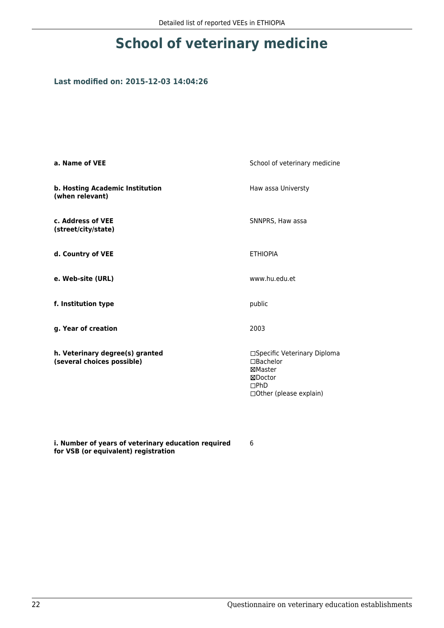## **School of veterinary medicine**

#### **Last modified on: 2015-12-03 14:04:26**

| a. Name of VEE                                                | School of veterinary medicine                                                                       |
|---------------------------------------------------------------|-----------------------------------------------------------------------------------------------------|
| b. Hosting Academic Institution<br>(when relevant)            | Haw assa Universty                                                                                  |
| c. Address of VEE<br>(street/city/state)                      | SNNPRS, Haw assa                                                                                    |
| d. Country of VEE                                             | <b>ETHIOPIA</b>                                                                                     |
| e. Web-site (URL)                                             | www.hu.edu.et                                                                                       |
| f. Institution type                                           | public                                                                                              |
| g. Year of creation                                           | 2003                                                                                                |
| h. Veterinary degree(s) granted<br>(several choices possible) | □Specific Veterinary Diploma<br>□Bachelor<br>⊠Master<br>⊠Doctor<br>DPhD<br>□ Other (please explain) |

**i. Number of years of veterinary education required for VSB (or equivalent) registration**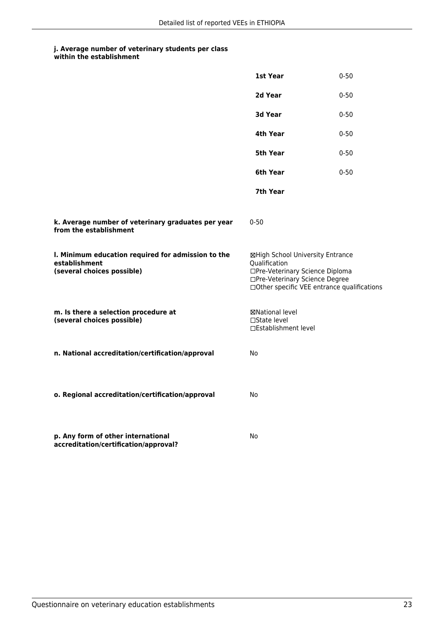| within the establishment |
|--------------------------|
|                          |

|                                                                                                   | 1st Year                                                                                                                                                              | $0 - 50$ |
|---------------------------------------------------------------------------------------------------|-----------------------------------------------------------------------------------------------------------------------------------------------------------------------|----------|
|                                                                                                   | 2d Year                                                                                                                                                               | $0 - 50$ |
|                                                                                                   | 3d Year                                                                                                                                                               | $0 - 50$ |
|                                                                                                   | 4th Year                                                                                                                                                              | $0 - 50$ |
|                                                                                                   | 5th Year                                                                                                                                                              | $0 - 50$ |
|                                                                                                   | 6th Year                                                                                                                                                              | $0 - 50$ |
|                                                                                                   | 7th Year                                                                                                                                                              |          |
| k. Average number of veterinary graduates per year<br>from the establishment                      | $0 - 50$                                                                                                                                                              |          |
| I. Minimum education required for admission to the<br>establishment<br>(several choices possible) | ⊠High School University Entrance<br>Qualification<br>□Pre-Veterinary Science Diploma<br>□Pre-Veterinary Science Degree<br>□Other specific VEE entrance qualifications |          |
| m. Is there a selection procedure at<br>(several choices possible)                                | ⊠National level<br>$\Box$ State level<br>□Establishment level                                                                                                         |          |
| n. National accreditation/certification/approval                                                  | No                                                                                                                                                                    |          |
| o. Regional accreditation/certification/approval                                                  | No                                                                                                                                                                    |          |
| p. Any form of other international<br>accreditation/certification/approval?                       | No                                                                                                                                                                    |          |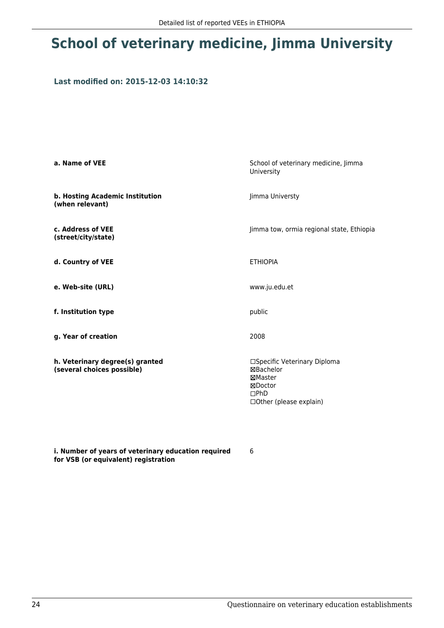## **School of veterinary medicine, Jimma University**

#### **Last modified on: 2015-12-03 14:10:32**

| a. Name of VEE                                                | School of veterinary medicine, Jimma<br>University                                                           |
|---------------------------------------------------------------|--------------------------------------------------------------------------------------------------------------|
| b. Hosting Academic Institution<br>(when relevant)            | Jimma Universty                                                                                              |
| c. Address of VEE<br>(street/city/state)                      | Jimma tow, ormia regional state, Ethiopia                                                                    |
| d. Country of VEE                                             | <b>ETHIOPIA</b>                                                                                              |
| e. Web-site (URL)                                             | www.ju.edu.et                                                                                                |
| f. Institution type                                           | public                                                                                                       |
| g. Year of creation                                           | 2008                                                                                                         |
| h. Veterinary degree(s) granted<br>(several choices possible) | □Specific Veterinary Diploma<br>⊠Bachelor<br>⊠Master<br>⊠Doctor<br>$\square$ PhD<br>□ Other (please explain) |

**i. Number of years of veterinary education required for VSB (or equivalent) registration**